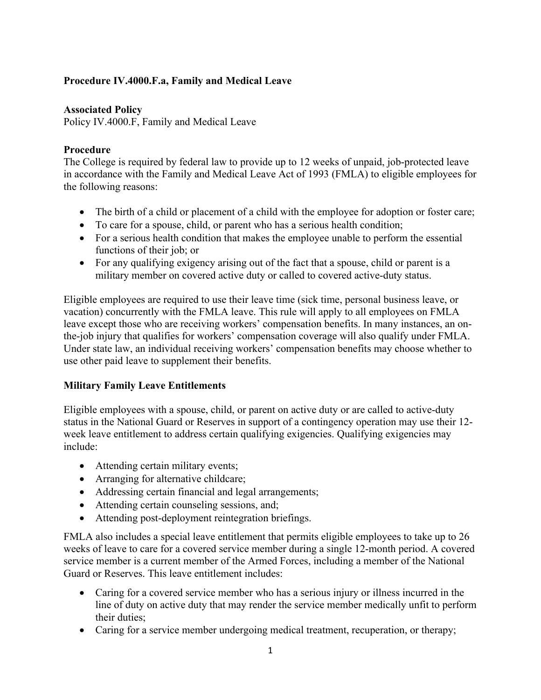## **Procedure IV.4000.F.a, Family and Medical Leave**

## **Associated Policy**

Policy IV.4000.F, Family and Medical Leave

## **Procedure**

The College is required by federal law to provide up to 12 weeks of unpaid, job-protected leave in accordance with the Family and Medical Leave Act of 1993 (FMLA) to eligible employees for the following reasons:

- The birth of a child or placement of a child with the employee for adoption or foster care;
- To care for a spouse, child, or parent who has a serious health condition;
- For a serious health condition that makes the employee unable to perform the essential functions of their job; or
- For any qualifying exigency arising out of the fact that a spouse, child or parent is a military member on covered active duty or called to covered active-duty status.

Eligible employees are required to use their leave time (sick time, personal business leave, or vacation) concurrently with the FMLA leave. This rule will apply to all employees on FMLA leave except those who are receiving workers' compensation benefits. In many instances, an onthe-job injury that qualifies for workers' compensation coverage will also qualify under FMLA. Under state law, an individual receiving workers' compensation benefits may choose whether to use other paid leave to supplement their benefits.

## **Military Family Leave Entitlements**

Eligible employees with a spouse, child, or parent on active duty or are called to active-duty status in the National Guard or Reserves in support of a contingency operation may use their 12 week leave entitlement to address certain qualifying exigencies. Qualifying exigencies may include:

- Attending certain military events;
- Arranging for alternative childcare;
- Addressing certain financial and legal arrangements;
- Attending certain counseling sessions, and;
- Attending post-deployment reintegration briefings.

FMLA also includes a special leave entitlement that permits eligible employees to take up to 26 weeks of leave to care for a covered service member during a single 12-month period. A covered service member is a current member of the Armed Forces, including a member of the National Guard or Reserves. This leave entitlement includes:

- Caring for a covered service member who has a serious injury or illness incurred in the line of duty on active duty that may render the service member medically unfit to perform their duties;
- Caring for a service member undergoing medical treatment, recuperation, or therapy;